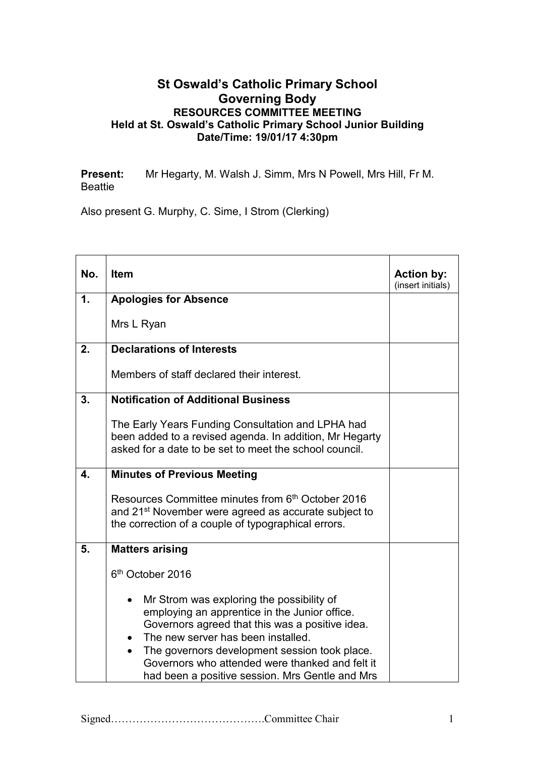## **St Oswald's Catholic Primary School Governing Body RESOURCES COMMITTEE MEETING Held at St. Oswald's Catholic Primary School Junior Building Date/Time: 19/01/17 4:30pm**

**Present:** Mr Hegarty, M. Walsh J. Simm, Mrs N Powell, Mrs Hill, Fr M. Beattie

Also present G. Murphy, C. Sime, I Strom (Clerking)

| No.           | <b>Item</b>                                                                                                                                                                                                                                                                                                                                             | <b>Action by:</b><br>(insert initials) |
|---------------|---------------------------------------------------------------------------------------------------------------------------------------------------------------------------------------------------------------------------------------------------------------------------------------------------------------------------------------------------------|----------------------------------------|
| $\mathbf 1$ . | <b>Apologies for Absence</b>                                                                                                                                                                                                                                                                                                                            |                                        |
|               | Mrs L Ryan                                                                                                                                                                                                                                                                                                                                              |                                        |
| 2.            | <b>Declarations of Interests</b>                                                                                                                                                                                                                                                                                                                        |                                        |
|               | Members of staff declared their interest.                                                                                                                                                                                                                                                                                                               |                                        |
| 3.            | <b>Notification of Additional Business</b>                                                                                                                                                                                                                                                                                                              |                                        |
|               | The Early Years Funding Consultation and LPHA had<br>been added to a revised agenda. In addition, Mr Hegarty<br>asked for a date to be set to meet the school council.                                                                                                                                                                                  |                                        |
| 4.            | <b>Minutes of Previous Meeting</b>                                                                                                                                                                                                                                                                                                                      |                                        |
|               | Resources Committee minutes from 6th October 2016<br>and 21 <sup>st</sup> November were agreed as accurate subject to<br>the correction of a couple of typographical errors.                                                                                                                                                                            |                                        |
| 5.            | <b>Matters arising</b>                                                                                                                                                                                                                                                                                                                                  |                                        |
|               | 6 <sup>th</sup> October 2016                                                                                                                                                                                                                                                                                                                            |                                        |
|               | Mr Strom was exploring the possibility of<br>$\bullet$<br>employing an apprentice in the Junior office.<br>Governors agreed that this was a positive idea.<br>The new server has been installed.<br>The governors development session took place.<br>Governors who attended were thanked and felt it<br>had been a positive session. Mrs Gentle and Mrs |                                        |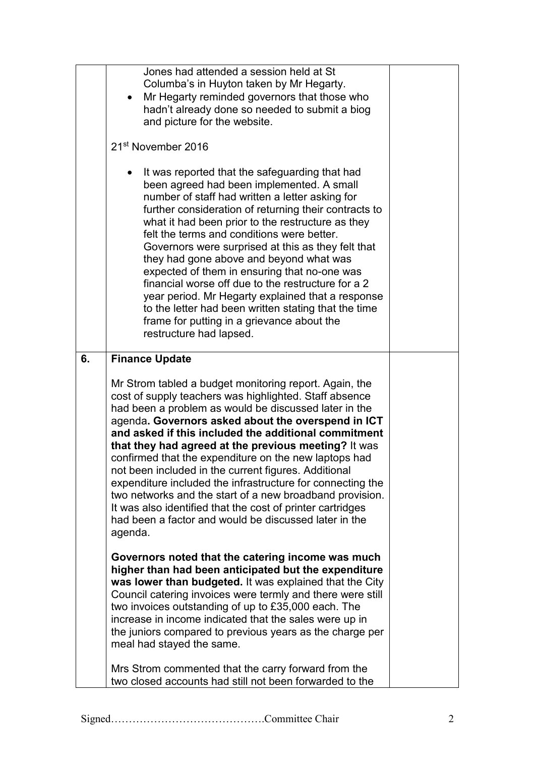| Governors were surprised at this as they felt that<br>they had gone above and beyond what was<br>expected of them in ensuring that no-one was<br>financial worse off due to the restructure for a 2<br>year period. Mr Hegarty explained that a response<br>to the letter had been written stating that the time<br>frame for putting in a grievance about the<br>restructure had lapsed.                                                                                                                                                                                                                                                                                                                                                                                                                                                                                                                                                                                                                                                                                                                                                                                                                                                                                                                                     | $\bullet$<br>21 <sup>st</sup> November 2016 |
|-------------------------------------------------------------------------------------------------------------------------------------------------------------------------------------------------------------------------------------------------------------------------------------------------------------------------------------------------------------------------------------------------------------------------------------------------------------------------------------------------------------------------------------------------------------------------------------------------------------------------------------------------------------------------------------------------------------------------------------------------------------------------------------------------------------------------------------------------------------------------------------------------------------------------------------------------------------------------------------------------------------------------------------------------------------------------------------------------------------------------------------------------------------------------------------------------------------------------------------------------------------------------------------------------------------------------------|---------------------------------------------|
| 6.<br><b>Finance Update</b><br>Mr Strom tabled a budget monitoring report. Again, the<br>cost of supply teachers was highlighted. Staff absence<br>had been a problem as would be discussed later in the<br>agenda. Governors asked about the overspend in ICT<br>and asked if this included the additional commitment<br>that they had agreed at the previous meeting? It was<br>confirmed that the expenditure on the new laptops had<br>not been included in the current figures. Additional<br>expenditure included the infrastructure for connecting the<br>two networks and the start of a new broadband provision.<br>It was also identified that the cost of printer cartridges<br>had been a factor and would be discussed later in the<br>agenda.<br>Governors noted that the catering income was much<br>higher than had been anticipated but the expenditure<br>was lower than budgeted. It was explained that the City<br>Council catering invoices were termly and there were still<br>two invoices outstanding of up to £35,000 each. The<br>increase in income indicated that the sales were up in<br>the juniors compared to previous years as the charge per<br>meal had stayed the same.<br>Mrs Strom commented that the carry forward from the<br>two closed accounts had still not been forwarded to the |                                             |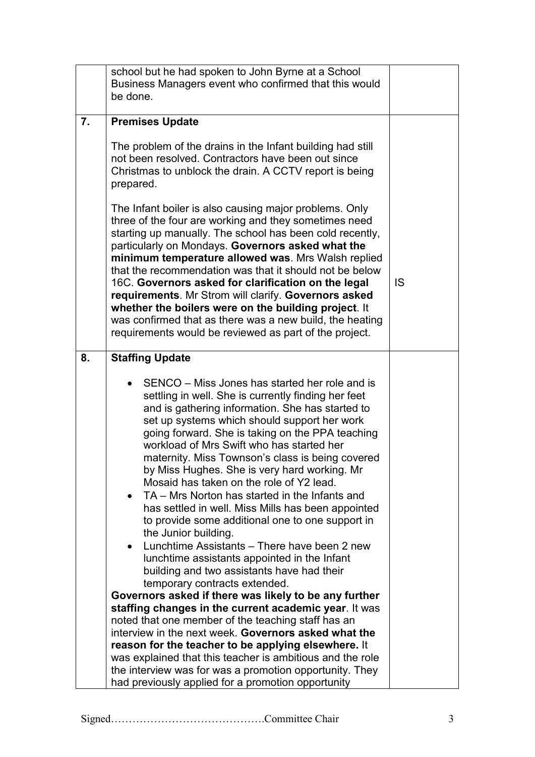| <b>IS</b> |
|-----------|
|           |
|           |
|           |
|           |
|           |
|           |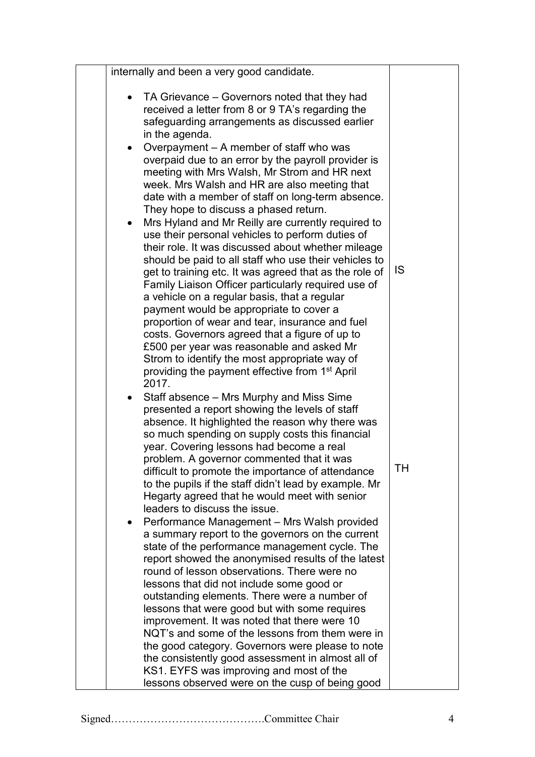| internally and been a very good candidate.                                                                                                                                                                                                                                                                                                                                                                                                                                                                                                                                                                                                                                                                                                                                                                                                                                                                                                                                                                                                                                                                                                                                                                                                                                                                                                                                                                                                                                                                                                                                                                                                                                                                                                                                                                                                                                                                                                    |                 |
|-----------------------------------------------------------------------------------------------------------------------------------------------------------------------------------------------------------------------------------------------------------------------------------------------------------------------------------------------------------------------------------------------------------------------------------------------------------------------------------------------------------------------------------------------------------------------------------------------------------------------------------------------------------------------------------------------------------------------------------------------------------------------------------------------------------------------------------------------------------------------------------------------------------------------------------------------------------------------------------------------------------------------------------------------------------------------------------------------------------------------------------------------------------------------------------------------------------------------------------------------------------------------------------------------------------------------------------------------------------------------------------------------------------------------------------------------------------------------------------------------------------------------------------------------------------------------------------------------------------------------------------------------------------------------------------------------------------------------------------------------------------------------------------------------------------------------------------------------------------------------------------------------------------------------------------------------|-----------------|
| • TA Grievance – Governors noted that they had<br>received a letter from 8 or 9 TA's regarding the<br>safeguarding arrangements as discussed earlier<br>in the agenda.<br>Overpayment - A member of staff who was<br>overpaid due to an error by the payroll provider is<br>meeting with Mrs Walsh, Mr Strom and HR next<br>week. Mrs Walsh and HR are also meeting that<br>date with a member of staff on long-term absence.<br>They hope to discuss a phased return.<br>Mrs Hyland and Mr Reilly are currently required to<br>use their personal vehicles to perform duties of<br>their role. It was discussed about whether mileage<br>should be paid to all staff who use their vehicles to<br>get to training etc. It was agreed that as the role of<br>Family Liaison Officer particularly required use of<br>a vehicle on a regular basis, that a regular<br>payment would be appropriate to cover a<br>proportion of wear and tear, insurance and fuel<br>costs. Governors agreed that a figure of up to<br>£500 per year was reasonable and asked Mr<br>Strom to identify the most appropriate way of<br>providing the payment effective from 1 <sup>st</sup> April<br>2017.<br>Staff absence – Mrs Murphy and Miss Sime<br>presented a report showing the levels of staff<br>absence. It highlighted the reason why there was<br>so much spending on supply costs this financial<br>year. Covering lessons had become a real<br>problem. A governor commented that it was<br>difficult to promote the importance of attendance<br>to the pupils if the staff didn't lead by example. Mr<br>Hegarty agreed that he would meet with senior<br>leaders to discuss the issue.<br>Performance Management - Mrs Walsh provided<br>a summary report to the governors on the current<br>state of the performance management cycle. The<br>report showed the anonymised results of the latest<br>round of lesson observations. There were no | <b>IS</b><br>TН |
| lessons that did not include some good or                                                                                                                                                                                                                                                                                                                                                                                                                                                                                                                                                                                                                                                                                                                                                                                                                                                                                                                                                                                                                                                                                                                                                                                                                                                                                                                                                                                                                                                                                                                                                                                                                                                                                                                                                                                                                                                                                                     |                 |
| outstanding elements. There were a number of<br>lessons that were good but with some requires<br>improvement. It was noted that there were 10                                                                                                                                                                                                                                                                                                                                                                                                                                                                                                                                                                                                                                                                                                                                                                                                                                                                                                                                                                                                                                                                                                                                                                                                                                                                                                                                                                                                                                                                                                                                                                                                                                                                                                                                                                                                 |                 |
| NQT's and some of the lessons from them were in<br>the good category. Governors were please to note<br>the consistently good assessment in almost all of<br>KS1. EYFS was improving and most of the                                                                                                                                                                                                                                                                                                                                                                                                                                                                                                                                                                                                                                                                                                                                                                                                                                                                                                                                                                                                                                                                                                                                                                                                                                                                                                                                                                                                                                                                                                                                                                                                                                                                                                                                           |                 |
| lessons observed were on the cusp of being good                                                                                                                                                                                                                                                                                                                                                                                                                                                                                                                                                                                                                                                                                                                                                                                                                                                                                                                                                                                                                                                                                                                                                                                                                                                                                                                                                                                                                                                                                                                                                                                                                                                                                                                                                                                                                                                                                               |                 |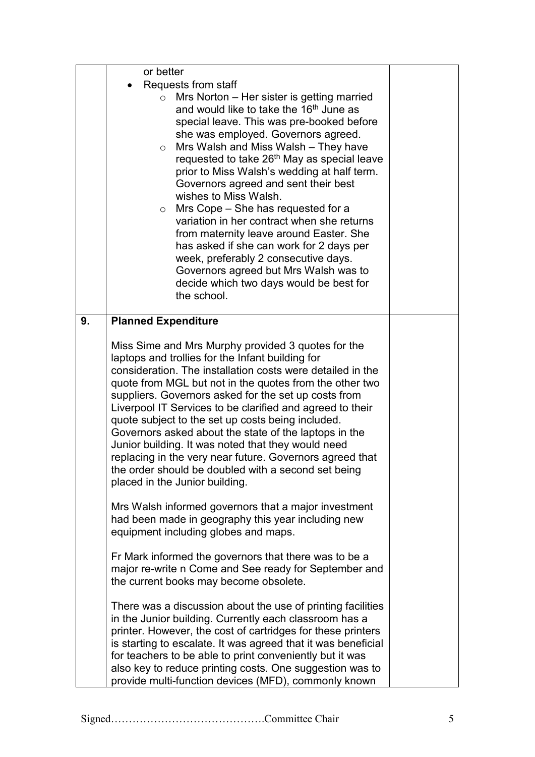|    | or better                                                                                                                                                                                                                                                                                                                                                                                                                                                                                                                                                                                                                                                                                                                                                                                                                                                                                                                                                                                                                                                                                                                                                                                                                                                                                                                                          |  |
|----|----------------------------------------------------------------------------------------------------------------------------------------------------------------------------------------------------------------------------------------------------------------------------------------------------------------------------------------------------------------------------------------------------------------------------------------------------------------------------------------------------------------------------------------------------------------------------------------------------------------------------------------------------------------------------------------------------------------------------------------------------------------------------------------------------------------------------------------------------------------------------------------------------------------------------------------------------------------------------------------------------------------------------------------------------------------------------------------------------------------------------------------------------------------------------------------------------------------------------------------------------------------------------------------------------------------------------------------------------|--|
|    | Requests from staff<br>Mrs Norton – Her sister is getting married<br>$\circ$<br>and would like to take the 16 <sup>th</sup> June as<br>special leave. This was pre-booked before<br>she was employed. Governors agreed.<br>Mrs Walsh and Miss Walsh – They have<br>$\circ$<br>requested to take 26 <sup>th</sup> May as special leave<br>prior to Miss Walsh's wedding at half term.<br>Governors agreed and sent their best<br>wishes to Miss Walsh.<br>Mrs Cope – She has requested for a<br>$\circ$<br>variation in her contract when she returns<br>from maternity leave around Easter. She<br>has asked if she can work for 2 days per<br>week, preferably 2 consecutive days.<br>Governors agreed but Mrs Walsh was to                                                                                                                                                                                                                                                                                                                                                                                                                                                                                                                                                                                                                       |  |
|    | decide which two days would be best for<br>the school.                                                                                                                                                                                                                                                                                                                                                                                                                                                                                                                                                                                                                                                                                                                                                                                                                                                                                                                                                                                                                                                                                                                                                                                                                                                                                             |  |
| 9. | <b>Planned Expenditure</b><br>Miss Sime and Mrs Murphy provided 3 quotes for the<br>laptops and trollies for the Infant building for<br>consideration. The installation costs were detailed in the<br>quote from MGL but not in the quotes from the other two<br>suppliers. Governors asked for the set up costs from<br>Liverpool IT Services to be clarified and agreed to their<br>quote subject to the set up costs being included.<br>Governors asked about the state of the laptops in the<br>Junior building. It was noted that they would need<br>replacing in the very near future. Governors agreed that<br>the order should be doubled with a second set being<br>placed in the Junior building.<br>Mrs Walsh informed governors that a major investment<br>had been made in geography this year including new<br>equipment including globes and maps.<br>Fr Mark informed the governors that there was to be a<br>major re-write n Come and See ready for September and<br>the current books may become obsolete.<br>There was a discussion about the use of printing facilities<br>in the Junior building. Currently each classroom has a<br>printer. However, the cost of cartridges for these printers<br>is starting to escalate. It was agreed that it was beneficial<br>for teachers to be able to print conveniently but it was |  |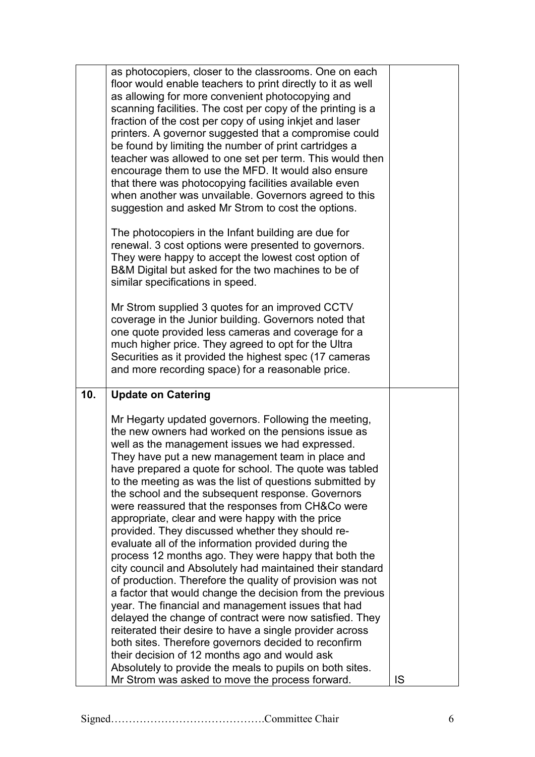|     | as photocopiers, closer to the classrooms. One on each<br>floor would enable teachers to print directly to it as well<br>as allowing for more convenient photocopying and<br>scanning facilities. The cost per copy of the printing is a<br>fraction of the cost per copy of using inkjet and laser<br>printers. A governor suggested that a compromise could<br>be found by limiting the number of print cartridges a<br>teacher was allowed to one set per term. This would then<br>encourage them to use the MFD. It would also ensure<br>that there was photocopying facilities available even<br>when another was unvailable. Governors agreed to this<br>suggestion and asked Mr Strom to cost the options.                                                                                                                                                                                                                                                                                                                                                                                                                                                                                                                                                    |     |
|-----|----------------------------------------------------------------------------------------------------------------------------------------------------------------------------------------------------------------------------------------------------------------------------------------------------------------------------------------------------------------------------------------------------------------------------------------------------------------------------------------------------------------------------------------------------------------------------------------------------------------------------------------------------------------------------------------------------------------------------------------------------------------------------------------------------------------------------------------------------------------------------------------------------------------------------------------------------------------------------------------------------------------------------------------------------------------------------------------------------------------------------------------------------------------------------------------------------------------------------------------------------------------------|-----|
|     | The photocopiers in the Infant building are due for<br>renewal. 3 cost options were presented to governors.<br>They were happy to accept the lowest cost option of<br>B&M Digital but asked for the two machines to be of<br>similar specifications in speed.                                                                                                                                                                                                                                                                                                                                                                                                                                                                                                                                                                                                                                                                                                                                                                                                                                                                                                                                                                                                        |     |
|     | Mr Strom supplied 3 quotes for an improved CCTV<br>coverage in the Junior building. Governors noted that<br>one quote provided less cameras and coverage for a<br>much higher price. They agreed to opt for the Ultra<br>Securities as it provided the highest spec (17 cameras<br>and more recording space) for a reasonable price.                                                                                                                                                                                                                                                                                                                                                                                                                                                                                                                                                                                                                                                                                                                                                                                                                                                                                                                                 |     |
| 10. | <b>Update on Catering</b>                                                                                                                                                                                                                                                                                                                                                                                                                                                                                                                                                                                                                                                                                                                                                                                                                                                                                                                                                                                                                                                                                                                                                                                                                                            |     |
|     | Mr Hegarty updated governors. Following the meeting,<br>the new owners had worked on the pensions issue as<br>well as the management issues we had expressed.<br>They have put a new management team in place and<br>have prepared a quote for school. The quote was tabled<br>to the meeting as was the list of questions submitted by<br>the school and the subsequent response. Governors<br>were reassured that the responses from CH&Co were<br>appropriate, clear and were happy with the price<br>provided. They discussed whether they should re-<br>evaluate all of the information provided during the<br>process 12 months ago. They were happy that both the<br>city council and Absolutely had maintained their standard<br>of production. Therefore the quality of provision was not<br>a factor that would change the decision from the previous<br>year. The financial and management issues that had<br>delayed the change of contract were now satisfied. They<br>reiterated their desire to have a single provider across<br>both sites. Therefore governors decided to reconfirm<br>their decision of 12 months ago and would ask<br>Absolutely to provide the meals to pupils on both sites.<br>Mr Strom was asked to move the process forward. | IS. |